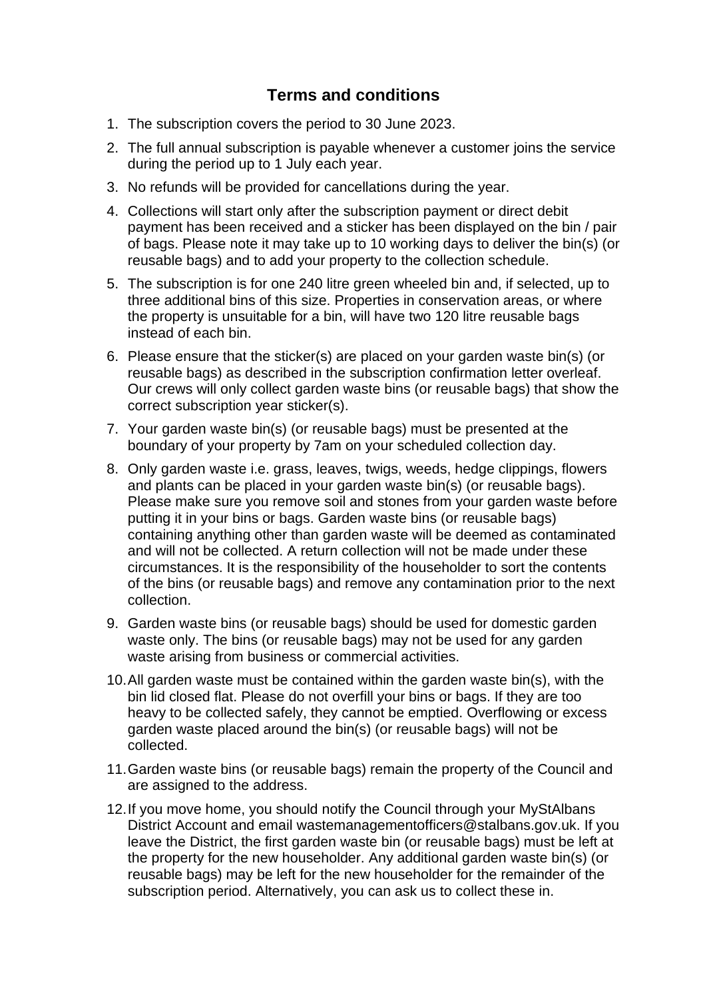## **Terms and conditions**

- 1. The subscription covers the period to 30 June 2023.
- 2. The full annual subscription is payable whenever a customer joins the service during the period up to 1 July each year.
- 3. No refunds will be provided for cancellations during the year.
- 4. Collections will start only after the subscription payment or direct debit payment has been received and a sticker has been displayed on the bin / pair of bags. Please note it may take up to 10 working days to deliver the bin(s) (or reusable bags) and to add your property to the collection schedule.
- 5. The subscription is for one 240 litre green wheeled bin and, if selected, up to three additional bins of this size. Properties in conservation areas, or where the property is unsuitable for a bin, will have two 120 litre reusable bags instead of each bin.
- 6. Please ensure that the sticker(s) are placed on your garden waste bin(s) (or reusable bags) as described in the subscription confirmation letter overleaf. Our crews will only collect garden waste bins (or reusable bags) that show the correct subscription year sticker(s).
- 7. Your garden waste bin(s) (or reusable bags) must be presented at the boundary of your property by 7am on your scheduled collection day.
- 8. Only garden waste i.e. grass, leaves, twigs, weeds, hedge clippings, flowers and plants can be placed in your garden waste bin(s) (or reusable bags). Please make sure you remove soil and stones from your garden waste before putting it in your bins or bags. Garden waste bins (or reusable bags) containing anything other than garden waste will be deemed as contaminated and will not be collected. A return collection will not be made under these circumstances. It is the responsibility of the householder to sort the contents of the bins (or reusable bags) and remove any contamination prior to the next collection.
- 9. Garden waste bins (or reusable bags) should be used for domestic garden waste only. The bins (or reusable bags) may not be used for any garden waste arising from business or commercial activities.
- 10. All garden waste must be contained within the garden waste bin(s), with the bin lid closed flat. Please do not overfill your bins or bags. If they are too heavy to be collected safely, they cannot be emptied. Overflowing or excess garden waste placed around the bin(s) (or reusable bags) will not be collected.
- 11. Garden waste bins (or reusable bags) remain the property of the Council and are assigned to the address.
- 12. If you move home, you should notify the Council through your MyStAlbans District Account and email wastemanagementofficers@stalbans.gov.uk. If you leave the District, the first garden waste bin (or reusable bags) must be left at the property for the new householder. Any additional garden waste bin(s) (or reusable bags) may be left for the new householder for the remainder of the subscription period. Alternatively, you can ask us to collect these in.